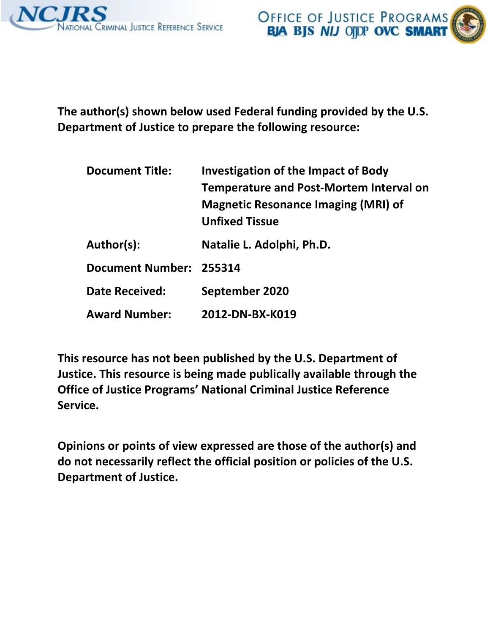

**The author(s) shown below used Federal funding provided by the U.S. Department of Justice to prepare the following resource:** 

| <b>Document Title:</b>  | <b>Investigation of the Impact of Body</b><br>Temperature and Post-Mortem Interval on<br><b>Magnetic Resonance Imaging (MRI) of</b><br><b>Unfixed Tissue</b> |
|-------------------------|--------------------------------------------------------------------------------------------------------------------------------------------------------------|
| Author(s):              | Natalie L. Adolphi, Ph.D.                                                                                                                                    |
| Document Number: 255314 |                                                                                                                                                              |
| <b>Date Received:</b>   | September 2020                                                                                                                                               |
| <b>Award Number:</b>    | 2012-DN-BX-K019                                                                                                                                              |

**This resource has not been published by the U.S. Department of Justice. This resource is being made publically available through the Office of Justice Programs' National Criminal Justice Reference Service.** 

**Opinions or points of view expressed are those of the author(s) and do not necessarily reflect the official position or policies of the U.S. Department of Justice.**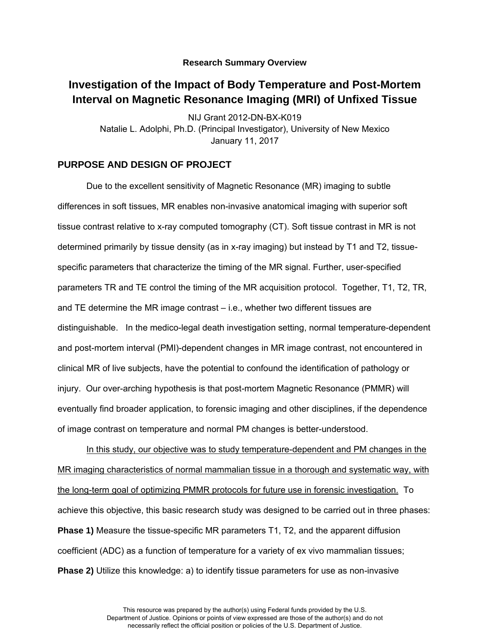#### **Research Summary Overview**

## **Investigation of the Impact of Body Temperature and Post-Mortem Interval on Magnetic Resonance Imaging (MRI) of Unfixed Tissue**

NIJ Grant 2012-DN-BX-K019 Natalie L. Adolphi, Ph.D. (Principal Investigator), University of New Mexico January 11, 2017

### **PURPOSE AND DESIGN OF PROJECT**

Due to the excellent sensitivity of Magnetic Resonance (MR) imaging to subtle differences in soft tissues, MR enables non-invasive anatomical imaging with superior soft tissue contrast relative to x-ray computed tomography (CT). Soft tissue contrast in MR is not determined primarily by tissue density (as in x-ray imaging) but instead by T1 and T2, tissuespecific parameters that characterize the timing of the MR signal. Further, user-specified parameters TR and TE control the timing of the MR acquisition protocol. Together, T1, T2, TR, and TE determine the MR image contrast – i.e., whether two different tissues are distinguishable. In the medico-legal death investigation setting, normal temperature-dependent and post-mortem interval (PMI)-dependent changes in MR image contrast, not encountered in clinical MR of live subjects, have the potential to confound the identification of pathology or injury. Our over-arching hypothesis is that post-mortem Magnetic Resonance (PMMR) will eventually find broader application, to forensic imaging and other disciplines, if the dependence of image contrast on temperature and normal PM changes is better-understood.

In this study, our objective was to study temperature-dependent and PM changes in the MR imaging characteristics of normal mammalian tissue in a thorough and systematic way, with the long-term goal of optimizing PMMR protocols for future use in forensic investigation. To achieve this objective, this basic research study was designed to be carried out in three phases: **Phase 1)** Measure the tissue-specific MR parameters T1, T2, and the apparent diffusion coefficient (ADC) as a function of temperature for a variety of ex vivo mammalian tissues; **Phase 2)** Utilize this knowledge: a) to identify tissue parameters for use as non-invasive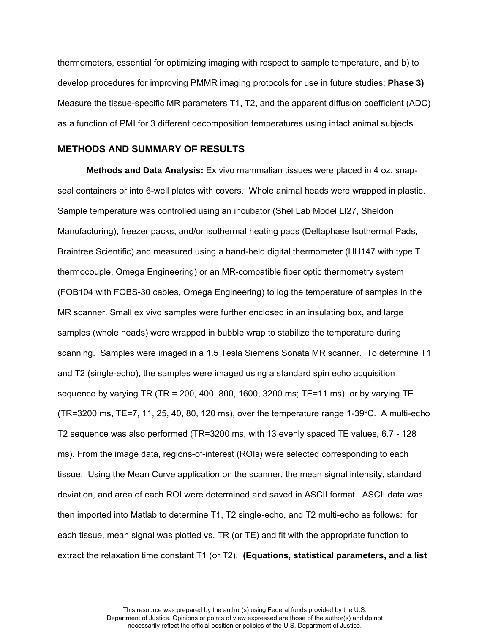thermometers, essential for optimizing imaging with respect to sample temperature, and b) to develop procedures for improving PMMR imaging protocols for use in future studies; **Phase 3)** Measure the tissue-specific MR parameters T1, T2, and the apparent diffusion coefficient (ADC) as a function of PMI for 3 different decomposition temperatures using intact animal subjects.

#### **METHODS AND SUMMARY OF RESULTS**

**Methods and Data Analysis:** Ex vivo mammalian tissues were placed in 4 oz. snapseal containers or into 6-well plates with covers. Whole animal heads were wrapped in plastic. Sample temperature was controlled using an incubator (Shel Lab Model LI27, Sheldon Manufacturing), freezer packs, and/or isothermal heating pads (Deltaphase Isothermal Pads, Braintree Scientific) and measured using a hand-held digital thermometer (HH147 with type T thermocouple, Omega Engineering) or an MR-compatible fiber optic thermometry system (FOB104 with FOBS-30 cables, Omega Engineering) to log the temperature of samples in the MR scanner. Small ex vivo samples were further enclosed in an insulating box, and large samples (whole heads) were wrapped in bubble wrap to stabilize the temperature during scanning. Samples were imaged in a 1.5 Tesla Siemens Sonata MR scanner. To determine T1 and T2 (single-echo), the samples were imaged using a standard spin echo acquisition sequence by varying TR (TR = 200, 400, 800, 1600, 3200 ms; TE=11 ms), or by varying TE (TR=3200 ms, TE=7, 11, 25, 40, 80, 120 ms), over the temperature range 1-39 $^{\circ}$ C. A multi-echo T2 sequence was also performed (TR=3200 ms, with 13 evenly spaced TE values, 6.7 - 128 ms). From the image data, regions-of-interest (ROIs) were selected corresponding to each tissue. Using the Mean Curve application on the scanner, the mean signal intensity, standard deviation, and area of each ROI were determined and saved in ASCII format. ASCII data was then imported into Matlab to determine T1, T2 single-echo, and T2 multi-echo as follows: for each tissue, mean signal was plotted vs. TR (or TE) and fit with the appropriate function to extract the relaxation time constant T1 (or T2). **(Equations, statistical parameters, and a list**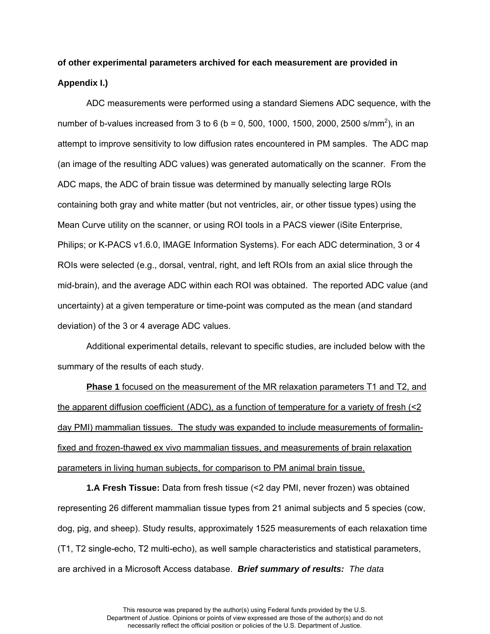# **of other experimental parameters archived for each measurement are provided in Appendix I.)**

ADC measurements were performed using a standard Siemens ADC sequence, with the number of b-values increased from 3 to 6 (b = 0, 500, 1000, 1500, 2000, 2500 s/mm<sup>2</sup>), in an attempt to improve sensitivity to low diffusion rates encountered in PM samples. The ADC map (an image of the resulting ADC values) was generated automatically on the scanner. From the ADC maps, the ADC of brain tissue was determined by manually selecting large ROIs containing both gray and white matter (but not ventricles, air, or other tissue types) using the Mean Curve utility on the scanner, or using ROI tools in a PACS viewer (iSite Enterprise, Philips; or K-PACS v1.6.0, IMAGE Information Systems). For each ADC determination, 3 or 4 ROIs were selected (e.g., dorsal, ventral, right, and left ROIs from an axial slice through the mid-brain), and the average ADC within each ROI was obtained. The reported ADC value (and uncertainty) at a given temperature or time-point was computed as the mean (and standard deviation) of the 3 or 4 average ADC values.

Additional experimental details, relevant to specific studies, are included below with the summary of the results of each study.

**Phase 1** focused on the measurement of the MR relaxation parameters T1 and T2, and the apparent diffusion coefficient (ADC), as a function of temperature for a variety of fresh (<2 day PMI) mammalian tissues. The study was expanded to include measurements of formalinfixed and frozen-thawed ex vivo mammalian tissues, and measurements of brain relaxation parameters in living human subjects, for comparison to PM animal brain tissue.

**1.A Fresh Tissue:** Data from fresh tissue (<2 day PMI, never frozen) was obtained representing 26 different mammalian tissue types from 21 animal subjects and 5 species (cow, dog, pig, and sheep). Study results, approximately 1525 measurements of each relaxation time (T1, T2 single-echo, T2 multi-echo), as well sample characteristics and statistical parameters, are archived in a Microsoft Access database. *Brief summary of results: The data*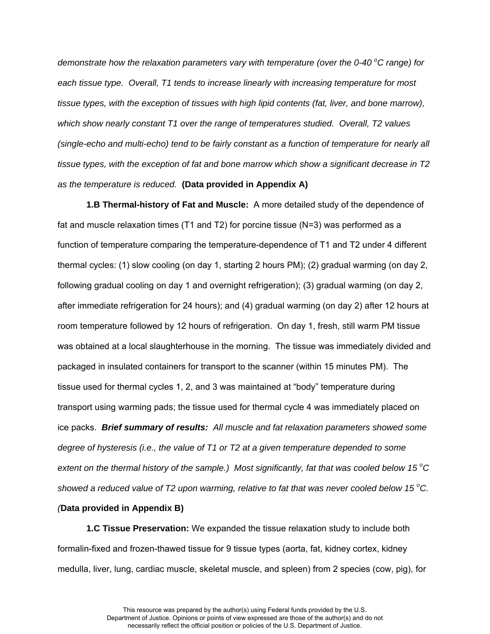*demonstrate how the relaxation parameters vary with temperature (over the 0-40 <sup>o</sup>C range) for each tissue type. Overall, T1 tends to increase linearly with increasing temperature for most tissue types, with the exception of tissues with high lipid contents (fat, liver, and bone marrow), which show nearly constant T1 over the range of temperatures studied. Overall, T2 values (single-echo and multi-echo) tend to be fairly constant as a function of temperature for nearly all tissue types, with the exception of fat and bone marrow which show a significant decrease in T2 as the temperature is reduced.* **(Data provided in Appendix A)** 

**1.B Thermal-history of Fat and Muscle:** A more detailed study of the dependence of fat and muscle relaxation times (T1 and T2) for porcine tissue (N=3) was performed as a function of temperature comparing the temperature-dependence of T1 and T2 under 4 different thermal cycles: (1) slow cooling (on day 1, starting 2 hours PM); (2) gradual warming (on day 2, following gradual cooling on day 1 and overnight refrigeration); (3) gradual warming (on day 2, after immediate refrigeration for 24 hours); and (4) gradual warming (on day 2) after 12 hours at room temperature followed by 12 hours of refrigeration. On day 1, fresh, still warm PM tissue was obtained at a local slaughterhouse in the morning. The tissue was immediately divided and packaged in insulated containers for transport to the scanner (within 15 minutes PM). The tissue used for thermal cycles 1, 2, and 3 was maintained at "body" temperature during transport using warming pads; the tissue used for thermal cycle 4 was immediately placed on ice packs. *Brief summary of results: All muscle and fat relaxation parameters showed some degree of hysteresis (i.e., the value of T1 or T2 at a given temperature depended to some extent on the thermal history of the sample.) Most significantly, fat that was cooled below 15<sup>°</sup>C showed a reduced value of T2 upon warming, relative to fat that was never cooled below 15 <sup>o</sup>C. (***Data provided in Appendix B)** 

**1.C Tissue Preservation:** We expanded the tissue relaxation study to include both formalin-fixed and frozen-thawed tissue for 9 tissue types (aorta, fat, kidney cortex, kidney medulla, liver, lung, cardiac muscle, skeletal muscle, and spleen) from 2 species (cow, pig), for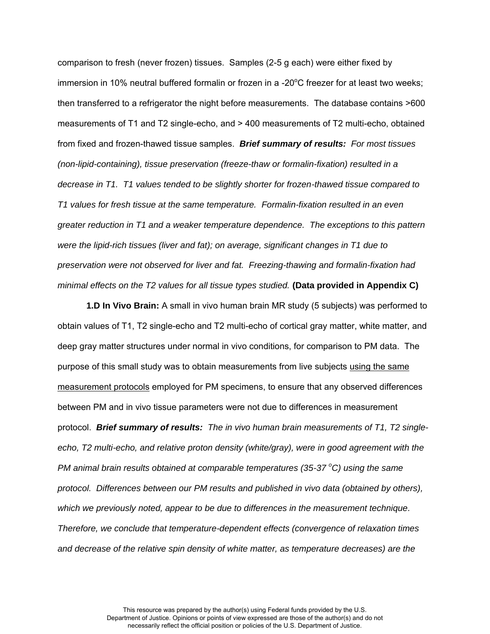comparison to fresh (never frozen) tissues. Samples (2-5 g each) were either fixed by immersion in 10% neutral buffered formalin or frozen in a -20 $\degree$ C freezer for at least two weeks; then transferred to a refrigerator the night before measurements. The database contains >600 measurements of T1 and T2 single-echo, and > 400 measurements of T2 multi-echo, obtained from fixed and frozen-thawed tissue samples. *Brief summary of results: For most tissues (non-lipid-containing), tissue preservation (freeze-thaw or formalin-fixation) resulted in a decrease in T1. T1 values tended to be slightly shorter for frozen-thawed tissue compared to T1 values for fresh tissue at the same temperature. Formalin-fixation resulted in an even greater reduction in T1 and a weaker temperature dependence. The exceptions to this pattern were the lipid-rich tissues (liver and fat); on average, significant changes in T1 due to preservation were not observed for liver and fat. Freezing-thawing and formalin-fixation had minimal effects on the T2 values for all tissue types studied.* (Data provided in Appendix C)

**1.D In Vivo Brain:** A small in vivo human brain MR study (5 subjects) was performed to obtain values of T1, T2 single-echo and T2 multi-echo of cortical gray matter, white matter, and deep gray matter structures under normal in vivo conditions, for comparison to PM data. The purpose of this small study was to obtain measurements from live subjects using the same measurement protocols employed for PM specimens, to ensure that any observed differences between PM and in vivo tissue parameters were not due to differences in measurement protocol. *Brief summary of results: The in vivo human brain measurements of T1, T2 singleecho, T2 multi-echo, and relative proton density (white/gray), were in good agreement with the PM animal brain results obtained at comparable temperatures (35-37 <sup>o</sup>C) using the same protocol. Differences between our PM results and published in vivo data (obtained by others), which we previously noted, appear to be due to differences in the measurement technique. Therefore, we conclude that temperature-dependent effects (convergence of relaxation times and decrease of the relative spin density of white matter, as temperature decreases) are the*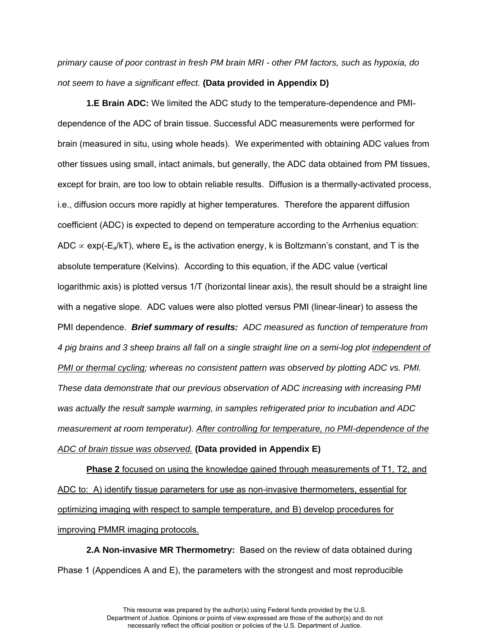*primary cause of poor contrast in fresh PM brain MRI - other PM factors, such as hypoxia, do not seem to have a significant effect.* **(Data provided in Appendix D)**

**1.E Brain ADC:** We limited the ADC study to the temperature-dependence and PMIdependence of the ADC of brain tissue. Successful ADC measurements were performed for brain (measured in situ, using whole heads). We experimented with obtaining ADC values from other tissues using small, intact animals, but generally, the ADC data obtained from PM tissues, except for brain, are too low to obtain reliable results. Diffusion is a thermally-activated process, i.e., diffusion occurs more rapidly at higher temperatures. Therefore the apparent diffusion coefficient (ADC) is expected to depend on temperature according to the Arrhenius equation: ADC  $\propto$  exp(-E<sub>a</sub>/kT), where E<sub>a</sub> is the activation energy, k is Boltzmann's constant, and T is the absolute temperature (Kelvins). According to this equation, if the ADC value (vertical logarithmic axis) is plotted versus 1/T (horizontal linear axis), the result should be a straight line with a negative slope. ADC values were also plotted versus PMI (linear-linear) to assess the PMI dependence. *Brief summary of results: ADC measured as function of temperature from 4 pig brains and 3 sheep brains all fall on a single straight line on a semi-log plot independent of PMI or thermal cycling; whereas no consistent pattern was observed by plotting ADC vs. PMI. These data demonstrate that our previous observation of ADC increasing with increasing PMI was actually the result sample warming, in samples refrigerated prior to incubation and ADC measurement at room temperatur). After controlling for temperature, no PMI-dependence of the ADC of brain tissue was observed.* **(Data provided in Appendix E)**

**Phase 2** focused on using the knowledge gained through measurements of T1, T2, and ADC to: A) identify tissue parameters for use as non-invasive thermometers, essential for optimizing imaging with respect to sample temperature, and B) develop procedures for improving PMMR imaging protocols.

**2.A Non-invasive MR Thermometry:** Based on the review of data obtained during Phase 1 (Appendices A and E), the parameters with the strongest and most reproducible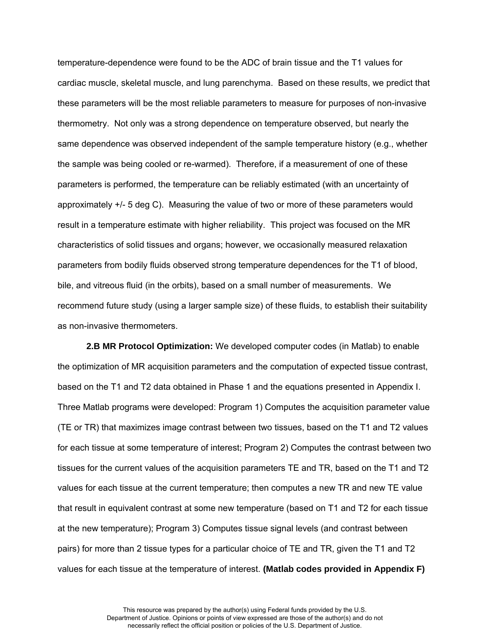temperature-dependence were found to be the ADC of brain tissue and the T1 values for cardiac muscle, skeletal muscle, and lung parenchyma. Based on these results, we predict that these parameters will be the most reliable parameters to measure for purposes of non-invasive thermometry. Not only was a strong dependence on temperature observed, but nearly the same dependence was observed independent of the sample temperature history (e.g., whether the sample was being cooled or re-warmed). Therefore, if a measurement of one of these parameters is performed, the temperature can be reliably estimated (with an uncertainty of approximately +/- 5 deg C). Measuring the value of two or more of these parameters would result in a temperature estimate with higher reliability. This project was focused on the MR characteristics of solid tissues and organs; however, we occasionally measured relaxation parameters from bodily fluids observed strong temperature dependences for the T1 of blood, bile, and vitreous fluid (in the orbits), based on a small number of measurements. We recommend future study (using a larger sample size) of these fluids, to establish their suitability as non-invasive thermometers.

**2.B MR Protocol Optimization:** We developed computer codes (in Matlab) to enable the optimization of MR acquisition parameters and the computation of expected tissue contrast, based on the T1 and T2 data obtained in Phase 1 and the equations presented in Appendix I. Three Matlab programs were developed: Program 1) Computes the acquisition parameter value (TE or TR) that maximizes image contrast between two tissues, based on the T1 and T2 values for each tissue at some temperature of interest; Program 2) Computes the contrast between two tissues for the current values of the acquisition parameters TE and TR, based on the T1 and T2 values for each tissue at the current temperature; then computes a new TR and new TE value that result in equivalent contrast at some new temperature (based on T1 and T2 for each tissue at the new temperature); Program 3) Computes tissue signal levels (and contrast between pairs) for more than 2 tissue types for a particular choice of TE and TR, given the T1 and T2 values for each tissue at the temperature of interest. **(Matlab codes provided in Appendix F)**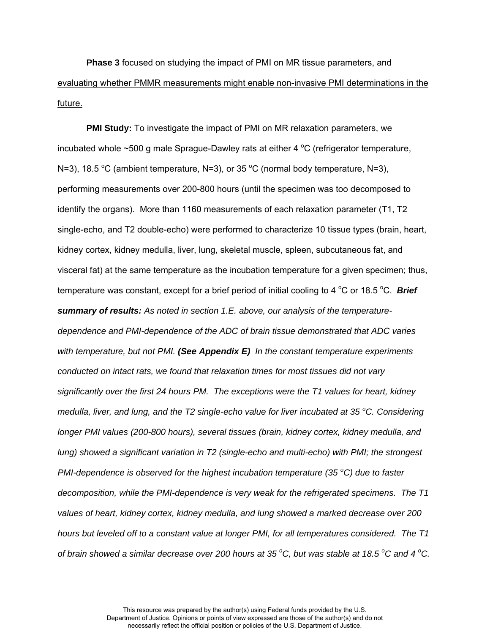**Phase 3** focused on studying the impact of PMI on MR tissue parameters, and evaluating whether PMMR measurements might enable non-invasive PMI determinations in the future.

**PMI Study:** To investigate the impact of PMI on MR relaxation parameters, we incubated whole  $\sim$  500 g male Sprague-Dawley rats at either 4  $^{\circ}$ C (refrigerator temperature, N=3), 18.5 °C (ambient temperature, N=3), or 35 °C (normal body temperature, N=3), performing measurements over 200-800 hours (until the specimen was too decomposed to identify the organs). More than 1160 measurements of each relaxation parameter (T1, T2 single-echo, and T2 double-echo) were performed to characterize 10 tissue types (brain, heart, kidney cortex, kidney medulla, liver, lung, skeletal muscle, spleen, subcutaneous fat, and visceral fat) at the same temperature as the incubation temperature for a given specimen; thus, temperature was constant, except for a brief period of initial cooling to 4 °C or 18.5 °C. *Brief summary of results: As noted in section 1.E. above, our analysis of the temperaturedependence and PMI-dependence of the ADC of brain tissue demonstrated that ADC varies with temperature, but not PMI. (See Appendix E) In the constant temperature experiments conducted on intact rats, we found that relaxation times for most tissues did not vary significantly over the first 24 hours PM. The exceptions were the T1 values for heart, kidney medulla, liver, and lung, and the T2 single-echo value for liver incubated at 35 <sup>o</sup>C. Considering longer PMI values (200-800 hours), several tissues (brain, kidney cortex, kidney medulla, and lung) showed a significant variation in T2 (single-echo and multi-echo) with PMI; the strongest PMI-dependence is observed for the highest incubation temperature (35 °C) due to faster decomposition, while the PMI-dependence is very weak for the refrigerated specimens. The T1 values of heart, kidney cortex, kidney medulla, and lung showed a marked decrease over 200 hours but leveled off to a constant value at longer PMI, for all temperatures considered. The T1 of brain showed a similar decrease over 200 hours at 35 <sup>o</sup>C, but was stable at 18.5 <sup>o</sup>C and 4 <sup>o</sup>C.*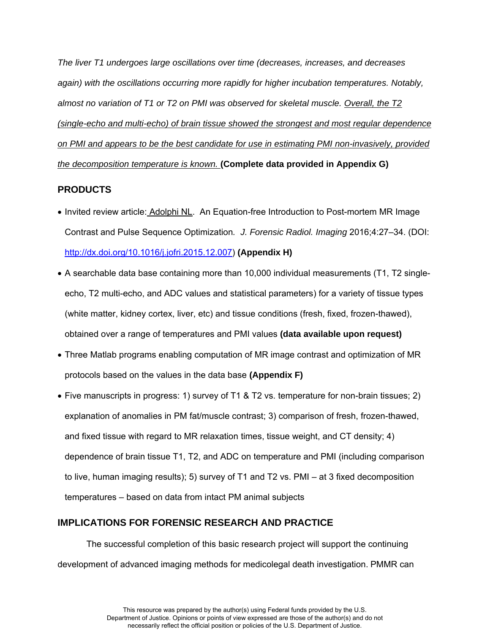*The liver T1 undergoes large oscillations over time (decreases, increases, and decreases*  again) with the oscillations occurring more rapidly for higher incubation temperatures. Notably, *almost no variation of T1 or T2 on PMI was observed for skeletal muscle. Overall, the T2 (single-echo and multi-echo) of brain tissue showed the strongest and most regular dependence on PMI and appears to be the best candidate for use in estimating PMI non-invasively, provided the decomposition temperature is known.* **(Complete data provided in Appendix G)** 

## **PRODUCTS**

- Invited review article: Adolphi NL. An Equation-free Introduction to Post-mortem MR Image Contrast and Pulse Sequence Optimization*. J. Forensic Radiol. Imaging* 2016;4:27–34. (DOI: [http://dx.doi.org/10.1016/j.jofri.2015.12.007\)](http://dx.doi.org/10.1016/j.jofri.2015.12.007) **(Appendix H)**
- A searchable data base containing more than 10,000 individual measurements (T1, T2 singleecho, T2 multi-echo, and ADC values and statistical parameters) for a variety of tissue types (white matter, kidney cortex, liver, etc) and tissue conditions (fresh, fixed, frozen-thawed), obtained over a range of temperatures and PMI values **(data available upon request)**
- Three Matlab programs enabling computation of MR image contrast and optimization of MR protocols based on the values in the data base **(Appendix F)**
- Five manuscripts in progress: 1) survey of T1 & T2 vs. temperature for non-brain tissues; 2) explanation of anomalies in PM fat/muscle contrast; 3) comparison of fresh, frozen-thawed, and fixed tissue with regard to MR relaxation times, tissue weight, and CT density; 4) dependence of brain tissue T1, T2, and ADC on temperature and PMI (including comparison to live, human imaging results); 5) survey of T1 and T2 vs. PMI – at 3 fixed decomposition temperatures – based on data from intact PM animal subjects

## **IMPLICATIONS FOR FORENSIC RESEARCH AND PRACTICE**

The successful completion of this basic research project will support the continuing development of advanced imaging methods for medicolegal death investigation. PMMR can